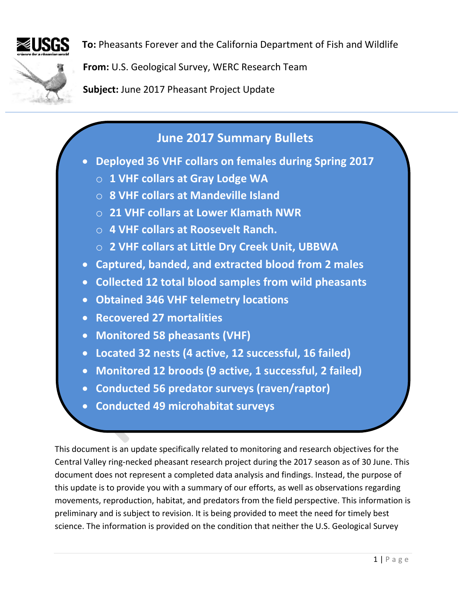

**To:** Pheasants Forever and the California Department of Fish and Wildlife

**From:** U.S. Geological Survey, WERC Research Team

**Subject:** June 2017 Pheasant Project Update

# **June 2017 Summary Bullets**

- **Deployed 36 VHF collars on females during Spring 2017**
	- o **1 VHF collars at Gray Lodge WA**
	- o **8 VHF collars at Mandeville Island**
	- o **21 VHF collars at Lower Klamath NWR**
	- o **4 VHF collars at Roosevelt Ranch.**
	- o **2 VHF collars at Little Dry Creek Unit, UBBWA**
- **Captured, banded, and extracted blood from 2 males**
- **Collected 12 total blood samples from wild pheasants**
- **Obtained 346 VHF telemetry locations**
- **Recovered 27 mortalities**
- **Monitored 58 pheasants (VHF)**
- **Located 32 nests (4 active, 12 successful, 16 failed)**
- **Monitored 12 broods (9 active, 1 successful, 2 failed)**
- **Conducted 56 predator surveys (raven/raptor)**
- **Conducted 49 microhabitat surveys**

This document is an update specifically related to monitoring and research objectives for the Central Valley ring-necked pheasant research project during the 2017 season as of 30 June. This document does not represent a completed data analysis and findings. Instead, the purpose of this update is to provide you with a summary of our efforts, as well as observations regarding movements, reproduction, habitat, and predators from the field perspective. This information is preliminary and is subject to revision. It is being provided to meet the need for timely best science. The information is provided on the condition that neither the U.S. Geological Survey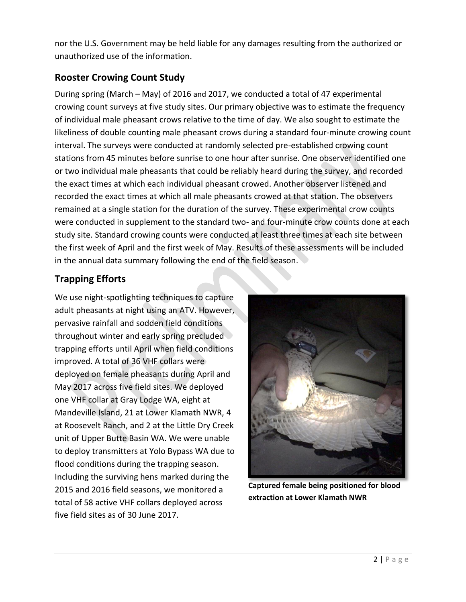nor the U.S. Government may be held liable for any damages resulting from the authorized or unauthorized use of the information.

## **Rooster Crowing Count Study**

During spring (March – May) of 2016 and 2017, we conducted a total of 47 experimental crowing count surveys at five study sites. Our primary objective was to estimate the frequency of individual male pheasant crows relative to the time of day. We also sought to estimate the likeliness of double counting male pheasant crows during a standard four-minute crowing count interval. The surveys were conducted at randomly selected pre-established crowing count stations from 45 minutes before sunrise to one hour after sunrise. One observer identified one or two individual male pheasants that could be reliably heard during the survey, and recorded the exact times at which each individual pheasant crowed. Another observer listened and recorded the exact times at which all male pheasants crowed at that station. The observers remained at a single station for the duration of the survey. These experimental crow counts were conducted in supplement to the standard two- and four-minute crow counts done at each study site. Standard crowing counts were conducted at least three times at each site between the first week of April and the first week of May. Results of these assessments will be included in the annual data summary following the end of the field season.

# **Trapping Efforts**

We use night-spotlighting techniques to capture adult pheasants at night using an ATV. However, pervasive rainfall and sodden field conditions throughout winter and early spring precluded trapping efforts until April when field conditions improved. A total of 36 VHF collars were deployed on female pheasants during April and May 2017 across five field sites. We deployed one VHF collar at Gray Lodge WA, eight at Mandeville Island, 21 at Lower Klamath NWR, 4 at Roosevelt Ranch, and 2 at the Little Dry Creek unit of Upper Butte Basin WA. We were unable to deploy transmitters at Yolo Bypass WA due to flood conditions during the trapping season. Including the surviving hens marked during the 2015 and 2016 field seasons, we monitored a total of 58 active VHF collars deployed across five field sites as of 30 June 2017.



**Captured female being positioned for blood extraction at Lower Klamath NWR**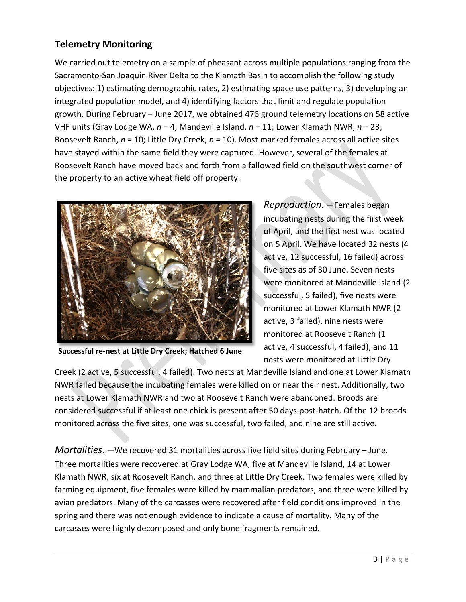## **Telemetry Monitoring**

We carried out telemetry on a sample of pheasant across multiple populations ranging from the Sacramento-San Joaquin River Delta to the Klamath Basin to accomplish the following study objectives: 1) estimating demographic rates, 2) estimating space use patterns, 3) developing an integrated population model, and 4) identifying factors that limit and regulate population growth. During February – June 2017, we obtained 476 ground telemetry locations on 58 active VHF units (Gray Lodge WA, *n* = 4; Mandeville Island, *n* = 11; Lower Klamath NWR, *n* = 23; Roosevelt Ranch, *n* = 10; Little Dry Creek, *n* = 10). Most marked females across all active sites have stayed within the same field they were captured. However, several of the females at Roosevelt Ranch have moved back and forth from a fallowed field on the southwest corner of the property to an active wheat field off property.



**Successful re-nest at Little Dry Creek; Hatched 6 June**

*Reproduction. ―*Females began incubating nests during the first week of April, and the first nest was located on 5 April. We have located 32 nests (4 active, 12 successful, 16 failed) across five sites as of 30 June. Seven nests were monitored at Mandeville Island (2 successful, 5 failed), five nests were monitored at Lower Klamath NWR (2 active, 3 failed), nine nests were monitored at Roosevelt Ranch (1 active, 4 successful, 4 failed), and 11 nests were monitored at Little Dry

Creek (2 active, 5 successful, 4 failed). Two nests at Mandeville Island and one at Lower Klamath NWR failed because the incubating females were killed on or near their nest. Additionally, two nests at Lower Klamath NWR and two at Roosevelt Ranch were abandoned. Broods are considered successful if at least one chick is present after 50 days post-hatch. Of the 12 broods monitored across the five sites, one was successful, two failed, and nine are still active.

*Mortalities*. *―*We recovered 31 mortalities across five field sites during February – June. Three mortalities were recovered at Gray Lodge WA, five at Mandeville Island, 14 at Lower Klamath NWR, six at Roosevelt Ranch, and three at Little Dry Creek. Two females were killed by farming equipment, five females were killed by mammalian predators, and three were killed by avian predators. Many of the carcasses were recovered after field conditions improved in the spring and there was not enough evidence to indicate a cause of mortality. Many of the carcasses were highly decomposed and only bone fragments remained.